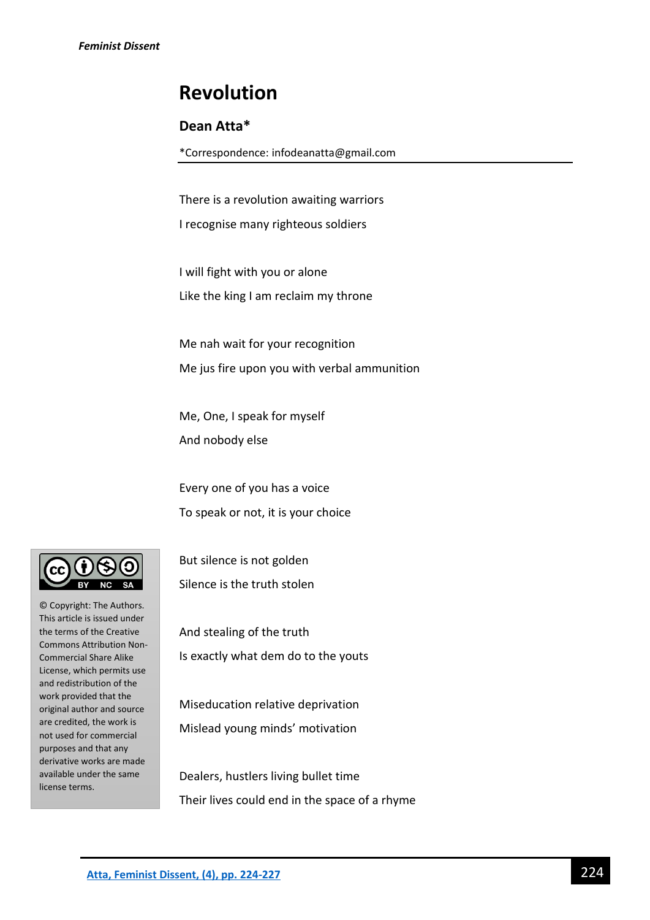## **Revolution**

## **Dean Atta\***

\*Correspondence: infodeanatta@gmail.com

There is a revolution awaiting warriors

I recognise many righteous soldiers

I will fight with you or alone Like the king I am reclaim my throne

Me nah wait for your recognition Me jus fire upon you with verbal ammunition

Me, One, I speak for myself And nobody else

Every one of you has a voice To speak or not, it is your choice



© Copyright: The Authors. This article is issued under the terms of the Creative Commons Attribution Non-Commercial Share Alike License, which permits use and redistribution of the work provided that the original author and source are credited, the work is not used for commercial purposes and that any derivative works are made available under the same license terms.

But silence is not golden Silence is the truth stolen

And stealing of the truth Is exactly what dem do to the youts

Miseducation relative deprivation Mislead young minds' motivation

Dealers, hustlers living bullet time Their lives could end in the space of a rhyme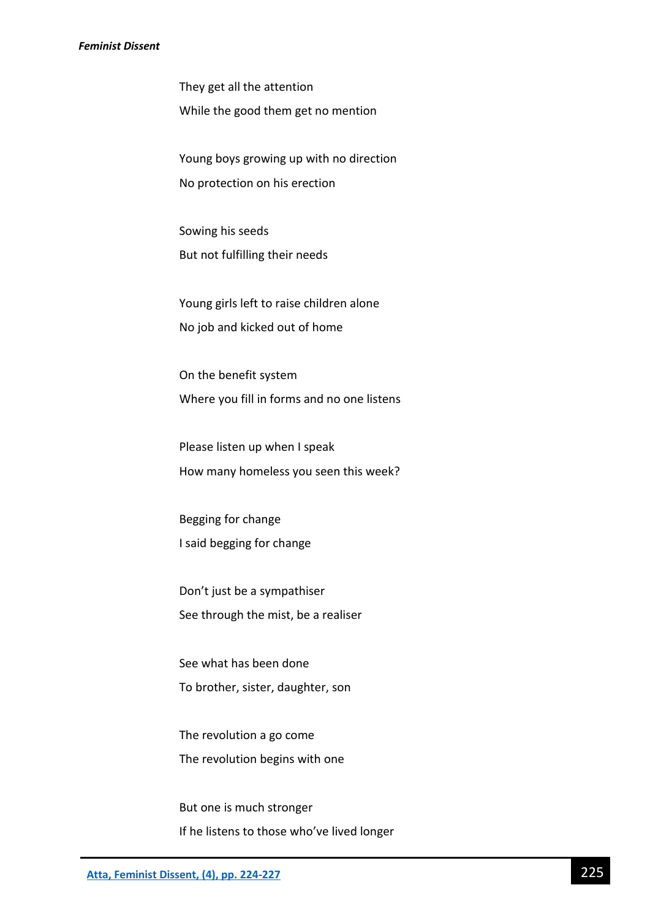## *Feminist Dissent*

They get all the attention While the good them get no mention

Young boys growing up with no direction No protection on his erection

Sowing his seeds But not fulfilling their needs

Young girls left to raise children alone No job and kicked out of home

On the benefit system Where you fill in forms and no one listens

Please listen up when I speak How many homeless you seen this week?

Begging for change I said begging for change

Don't just be a sympathiser See through the mist, be a realiser

See what has been done To brother, sister, daughter, son

The revolution a go come The revolution begins with one

But one is much stronger If he listens to those who've lived longer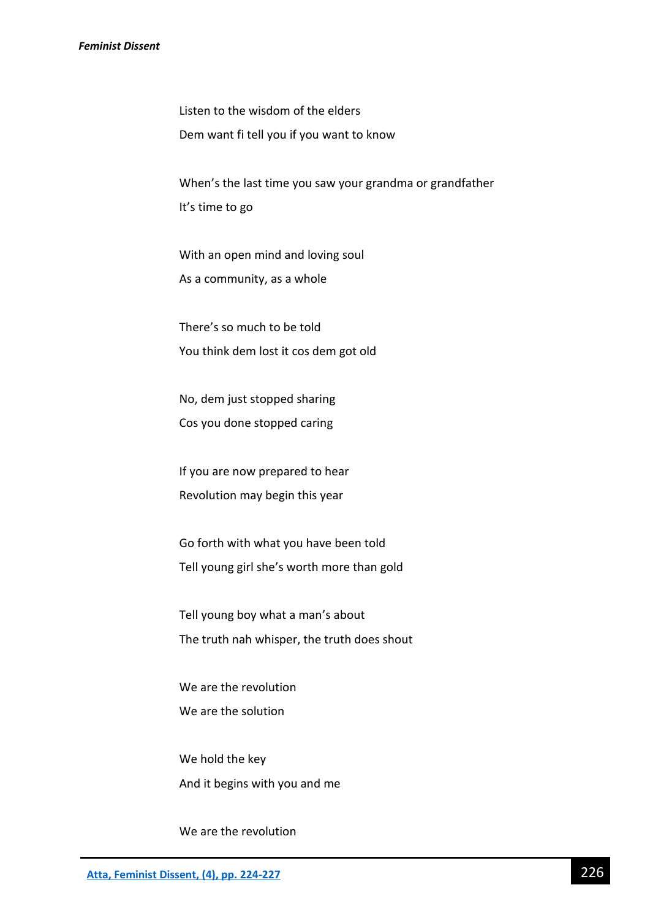## *Feminist Dissent*

Listen to the wisdom of the elders Dem want fi tell you if you want to know

When's the last time you saw your grandma or grandfather It's time to go

With an open mind and loving soul As a community, as a whole

There's so much to be told You think dem lost it cos dem got old

No, dem just stopped sharing Cos you done stopped caring

If you are now prepared to hear Revolution may begin this year

Go forth with what you have been told Tell young girl she's worth more than gold

Tell young boy what a man's about The truth nah whisper, the truth does shout

We are the revolution We are the solution

We hold the key And it begins with you and me

We are the revolution